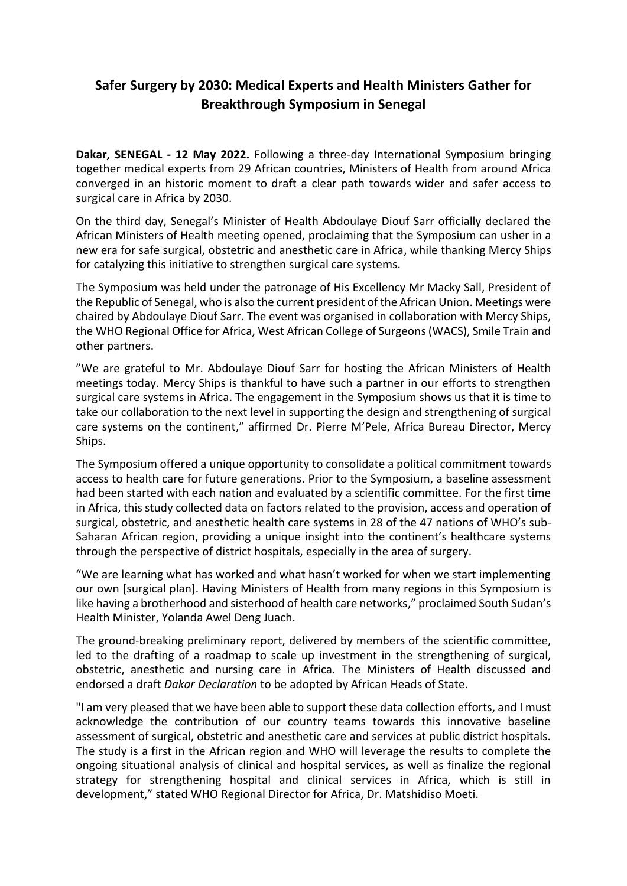## **Safer Surgery by 2030: Medical Experts and Health Ministers Gather for Breakthrough Symposium in Senegal**

**Dakar, SENEGAL - 12 May 2022.** Following a three-day International Symposium bringing together medical experts from 29 African countries, Ministers of Health from around Africa converged in an historic moment to draft a clear path towards wider and safer access to surgical care in Africa by 2030.

On the third day, Senegal's Minister of Health Abdoulaye Diouf Sarr officially declared the African Ministers of Health meeting opened, proclaiming that the Symposium can usher in a new era for safe surgical, obstetric and anesthetic care in Africa, while thanking Mercy Ships for catalyzing this initiative to strengthen surgical care systems.

The Symposium was held under the patronage of His Excellency Mr Macky Sall, President of the Republic of Senegal, who is also the current president of the African Union. Meetings were chaired by Abdoulaye Diouf Sarr. The event was organised in collaboration with Mercy Ships, the WHO Regional Office for Africa, West African College of Surgeons (WACS), Smile Train and other partners.

"We are grateful to Mr. Abdoulaye Diouf Sarr for hosting the African Ministers of Health meetings today. Mercy Ships is thankful to have such a partner in our efforts to strengthen surgical care systems in Africa. The engagement in the Symposium shows us that it is time to take our collaboration to the next level in supporting the design and strengthening of surgical care systems on the continent," affirmed Dr. Pierre M'Pele, Africa Bureau Director, Mercy Ships.

The Symposium offered a unique opportunity to consolidate a political commitment towards access to health care for future generations. Prior to the Symposium, a baseline assessment had been started with each nation and evaluated by a scientific committee. For the first time in Africa, this study collected data on factors related to the provision, access and operation of surgical, obstetric, and anesthetic health care systems in 28 of the 47 nations of WHO's sub-Saharan African region, providing a unique insight into the continent's healthcare systems through the perspective of district hospitals, especially in the area of surgery.

"We are learning what has worked and what hasn't worked for when we start implementing our own [surgical plan]. Having Ministers of Health from many regions in this Symposium is like having a brotherhood and sisterhood of health care networks," proclaimed South Sudan's Health Minister, Yolanda Awel Deng Juach.

The ground-breaking preliminary report, delivered by members of the scientific committee, led to the drafting of a roadmap to scale up investment in the strengthening of surgical, obstetric, anesthetic and nursing care in Africa. The Ministers of Health discussed and endorsed a draft *Dakar Declaration* to be adopted by African Heads of State.

"I am very pleased that we have been able to support these data collection efforts, and I must acknowledge the contribution of our country teams towards this innovative baseline assessment of surgical, obstetric and anesthetic care and services at public district hospitals. The study is a first in the African region and WHO will leverage the results to complete the ongoing situational analysis of clinical and hospital services, as well as finalize the regional strategy for strengthening hospital and clinical services in Africa, which is still in development," stated WHO Regional Director for Africa, Dr. Matshidiso Moeti.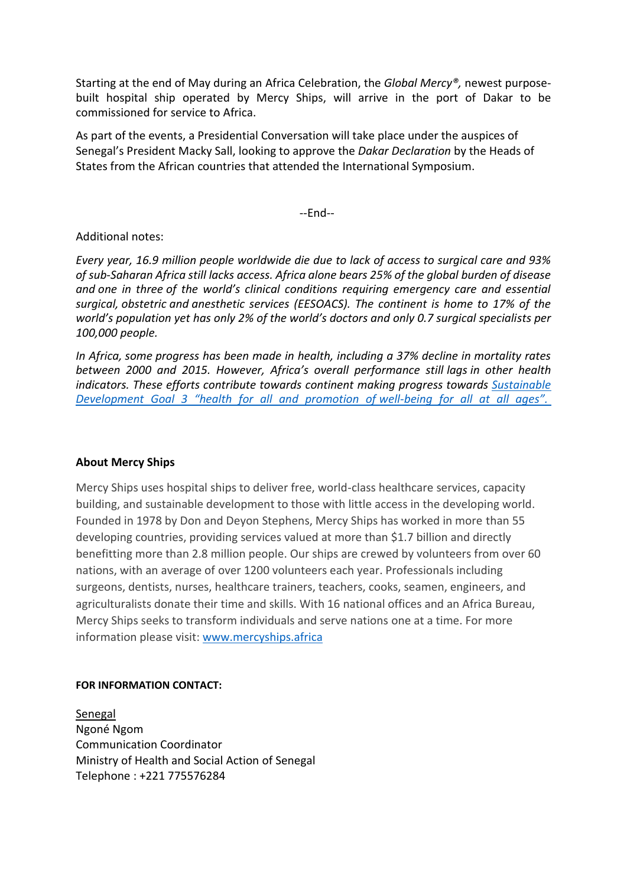Starting at the end of May during an Africa Celebration, the *Global Mercy®,* newest purposebuilt hospital ship operated by Mercy Ships, will arrive in the port of Dakar to be commissioned for service to Africa.

As part of the events, a Presidential Conversation will take place under the auspices of Senegal's President Macky Sall, looking to approve the *Dakar Declaration* by the Heads of States from the African countries that attended the International Symposium.

--End--

Additional notes:

*Every year, 16.9 million people worldwide die due to lack of access to surgical care and 93% of sub-Saharan Africa still lacks access. Africa alone bears 25% of the global burden of disease and one in three of the world's clinical conditions requiring emergency care and essential surgical, obstetric and anesthetic services (EESOACS). The continent is home to 17% of the world's population yet has only 2% of the world's doctors and only 0.7 surgical specialists per 100,000 people.*

*In Africa, some progress has been made in health, including a 37% decline in mortality rates between 2000 and 2015. However, Africa's overall performance still lags in other health indicators. These efforts contribute towards continent making progress towards [Sustainable](https://sdgs.un.org/goals/goal3)  [Development Goal 3 "health for all and promotion of](https://sdgs.un.org/goals/goal3) well-being for all at all ages".*

## **About Mercy Ships**

Mercy Ships uses hospital ships to deliver free, world-class healthcare services, capacity building, and sustainable development to those with little access in the developing world. Founded in 1978 by Don and Deyon Stephens, Mercy Ships has worked in more than 55 developing countries, providing services valued at more than \$1.7 billion and directly benefitting more than 2.8 million people. Our ships are crewed by volunteers from over 60 nations, with an average of over 1200 volunteers each year. Professionals including surgeons, dentists, nurses, healthcare trainers, teachers, cooks, seamen, engineers, and agriculturalists donate their time and skills. With 16 national offices and an Africa Bureau, Mercy Ships seeks to transform individuals and serve nations one at a time. For more information please visit: www.mercyships.africa

## **FOR INFORMATION CONTACT:**

**Senegal** Ngoné Ngom Communication Coordinator Ministry of Health and Social Action of Senegal Telephone : +221 775576284